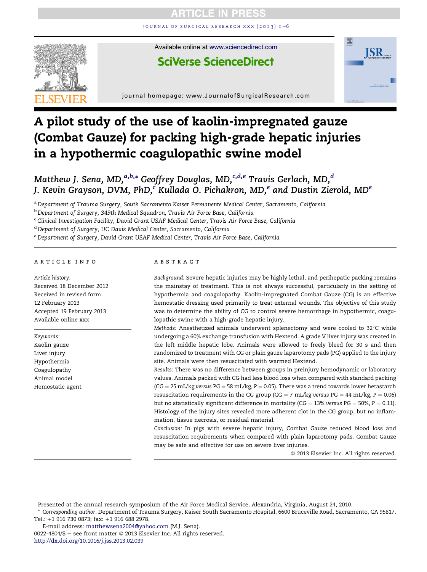

Available online at [www.sciencedirect.com](www.sciencedirect.com/science/journal/00224804)

# **SciVerse ScienceDirect**



journal homepage: [www.JournalofSurgicalResearch.com](http://www.JournalofSurgicalResearch.com)

# A pilot study of the use of kaolin-impregnated gauze (Combat Gauze) for packing high-grade hepatic injuries in a hypothermic coagulopathic swine model

# Matthew J. Sena, MD, $^{a,b,*}$  Geoffrey Douglas, MD, $^{\mathsf{c},d,e}$  Travis Gerlach, MD, $^d$ J. Kevin Grayson, DVM, PhD, $\text{c}$  Kullada O. Pichakron, MD, $\text{c}$  and Dustin Zierold, MD $\text{c}$

a Department of Trauma Surgery, South Sacramento Kaiser Permanente Medical Center, Sacramento, California

**b** Department of Surgery, 349th Medical Squadron, Travis Air Force Base, California

<sup>c</sup> Clinical Investigation Facility, David Grant USAF Medical Center, Travis Air Force Base, California

<sup>d</sup> Department of Surgery, UC Davis Medical Center, Sacramento, California

e Department of Surgery, David Grant USAF Medical Center, Travis Air Force Base, California

#### article info

Article history: Received 18 December 2012 Received in revised form 12 February 2013 Accepted 19 February 2013 Available online xxx

Keywords: Kaolin gauze Liver injury Hypothermia Coagulopathy Animal model Hemostatic agent

#### **ABSTRACT**

Background: Severe hepatic injuries may be highly lethal, and perihepatic packing remains the mainstay of treatment. This is not always successful, particularly in the setting of hypothermia and coagulopathy. Kaolin-impregnated Combat Gauze (CG) is an effective hemostatic dressing used primarily to treat external wounds. The objective of this study was to determine the ability of CG to control severe hemorrhage in hypothermic, coagulopathic swine with a high-grade hepatic injury.

Methods: Anesthetized animals underwent splenectomy and were cooled to  $32^{\circ}$ C while undergoing a 60% exchange transfusion with Hextend. A grade V liver injury was created in the left middle hepatic lobe. Animals were allowed to freely bleed for 30 s and then randomized to treatment with CG or plain gauze laparotomy pads (PG) applied to the injury site. Animals were then resuscitated with warmed Hextend.

Results: There was no difference between groups in preinjury hemodynamic or laboratory values. Animals packed with CG had less blood loss when compared with standard packing  $(CG = 25 \text{ mL/kg}$  versus PG = 58 mL/kg, P = 0.05). There was a trend towards lower hetastarch resuscitation requirements in the CG group (CG = 7 mL/kg versus PG = 44 mL/kg, P = 0.06) but no statistically significant difference in mortality (CG = 13% versus PG = 50%, P = 0.11). Histology of the injury sites revealed more adherent clot in the CG group, but no inflammation, tissue necrosis, or residual material.

Conclusion: In pigs with severe hepatic injury, Combat Gauze reduced blood loss and resuscitation requirements when compared with plain laparotomy pads. Combat Gauze may be safe and effective for use on severe liver injuries.

 $©$  2013 Elsevier Inc. All rights reserved.

Presented at the annual research symposium of the Air Force Medical Service, Alexandria, Virginia, August 24, 2010.

<sup>\*</sup> Corresponding author. Department of Trauma Surgery, Kaiser South Sacramento Hospital, 6600 Bruceville Road, Sacramento, CA 95817. Tel.: +1 916 730 0873; fax: +1 916 688 2978.

E-mail address: [matthewsena2004@yahoo.com](mailto:matthewsena2004@yahoo.com) (M.J. Sena).  $0022-4804/\$$  – see front matter  $\odot$  2013 Elsevier Inc. All rights reserved.

<http://dx.doi.org/10.1016/j.jss.2013.02.039>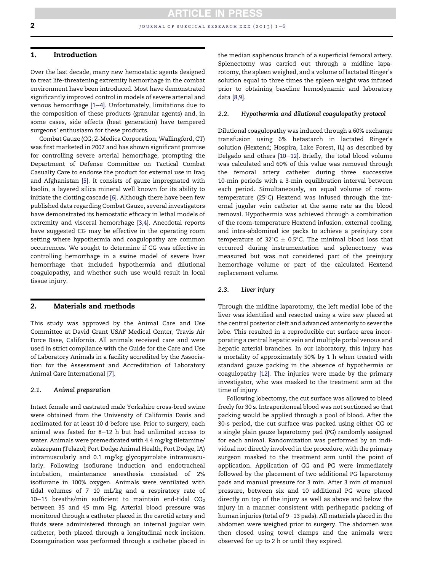# 1. Introduction

Over the last decade, many new hemostatic agents designed to treat life-threatening extremity hemorrhage in the combat environment have been introduced. Most have demonstrated significantly improved control in models of severe arterial and venous hemorrhage  $[1-4]$  $[1-4]$ . Unfortunately, limitations due to the composition of these products (granular agents) and, in some cases, side effects (heat generation) have tempered surgeons' enthusiasm for these products.

Combat Gauze (CG; Z-Medica Corporation, Wallingford, CT) was first marketed in 2007 and has shown significant promise for controlling severe arterial hemorrhage, prompting the Department of Defense Committee on Tactical Combat Casualty Care to endorse the product for external use in Iraq and Afghanistan [\[5\]](#page-4-0). It consists of gauze impregnated with kaolin, a layered silica mineral well known for its ability to initiate the clotting cascade [\[6\]](#page-4-0). Although there have been few published data regarding Combat Gauze, several investigators have demonstrated its hemostatic efficacy in lethal models of extremity and visceral hemorrhage [\[3,4\].](#page-4-0) Anecdotal reports have suggested CG may be effective in the operating room setting where hypothermia and coagulopathy are common occurrences. We sought to determine if CG was effective in controlling hemorrhage in a swine model of severe liver hemorrhage that included hypothermia and dilutional coagulopathy, and whether such use would result in local tissue injury.

## 2. Materials and methods

This study was approved by the Animal Care and Use Committee at David Grant USAF Medical Center, Travis Air Force Base, California. All animals received care and were used in strict compliance with the Guide for the Care and Use of Laboratory Animals in a facility accredited by the Association for the Assessment and Accreditation of Laboratory Animal Care International [\[7\]](#page-4-0).

#### 2.1. Animal preparation

Intact female and castrated male Yorkshire cross-bred swine were obtained from the University of California Davis and acclimated for at least 10 d before use. Prior to surgery, each animal was fasted for 8-12 h but had unlimited access to water. Animals were premedicated with 4.4 mg/kg tiletamine/ zolazepam (Telazol; Fort Dodge Animal Health, Fort Dodge, IA) intramuscularly and 0.1 mg/kg glycopyrrolate intramuscularly. Following isoflurane induction and endotracheal intubation, maintenance anesthesia consisted of 2% isoflurane in 100% oxygen. Animals were ventilated with tidal volumes of 7-10 mL/kg and a respiratory rate of 10-15 breaths/min sufficient to maintain end-tidal  $CO<sub>2</sub>$ between 35 and 45 mm Hg. Arterial blood pressure was monitored through a catheter placed in the carotid artery and fluids were administered through an internal jugular vein catheter, both placed through a longitudinal neck incision. Exsanguination was performed through a catheter placed in the median saphenous branch of a superficial femoral artery. Splenectomy was carried out through a midline laparotomy, the spleen weighed, and a volume of lactated Ringer's solution equal to three times the spleen weight was infused prior to obtaining baseline hemodynamic and laboratory data [\[8,9\]](#page-4-0).

#### 2.2. Hypothermia and dilutional coagulopathy protocol

Dilutional coagulopathy was induced through a 60% exchange transfusion using 6% hetastarch in lactated Ringer's solution (Hextend; Hospira, Lake Forest, IL) as described by Delgado and others  $[10-12]$  $[10-12]$  $[10-12]$ . Briefly, the total blood volume was calculated and 60% of this value was removed through the femoral artery catheter during three successive 10-min periods with a 3-min equilibration interval between each period. Simultaneously, an equal volume of roomtemperature (25°C) Hextend was infused through the internal jugular vein catheter at the same rate as the blood removal. Hypothermia was achieved through a combination of the room-temperature Hextend infusion, external cooling, and intra-abdominal ice packs to achieve a preinjury core temperature of 32 $\degree$ C  $\pm$  0.5 $\degree$ C. The minimal blood loss that occurred during instrumentation and splenectomy was measured but was not considered part of the preinjury hemorrhage volume or part of the calculated Hextend replacement volume.

#### 2.3. Liver injury

Through the midline laparotomy, the left medial lobe of the liver was identified and resected using a wire saw placed at the central posterior cleft and advanced anteriorly to sever the lobe. This resulted in a reproducible cut surface area incorporating a central hepatic vein and multiple portal venous and hepatic arterial branches. In our laboratory, this injury has a mortality of approximately 50% by 1 h when treated with standard gauze packing in the absence of hypothermia or coagulopathy [\[12\]](#page-4-0). The injuries were made by the primary investigator, who was masked to the treatment arm at the time of injury.

Following lobectomy, the cut surface was allowed to bleed freely for 30 s. Intraperitoneal blood was not suctioned so that packing would be applied through a pool of blood. After the 30-s period, the cut surface was packed using either CG or a single plain gauze laparotomy pad (PG) randomly assigned for each animal. Randomization was performed by an individual not directly involved in the procedure, with the primary surgeon masked to the treatment arm until the point of application. Application of CG and PG were immediately followed by the placement of two additional PG laparotomy pads and manual pressure for 3 min. After 3 min of manual pressure, between six and 10 additional PG were placed directly on top of the injury as well as above and below the injury in a manner consistent with perihepatic packing of human injuries (total of 9-13 pads). All materials placed in the abdomen were weighed prior to surgery. The abdomen was then closed using towel clamps and the animals were observed for up to 2 h or until they expired.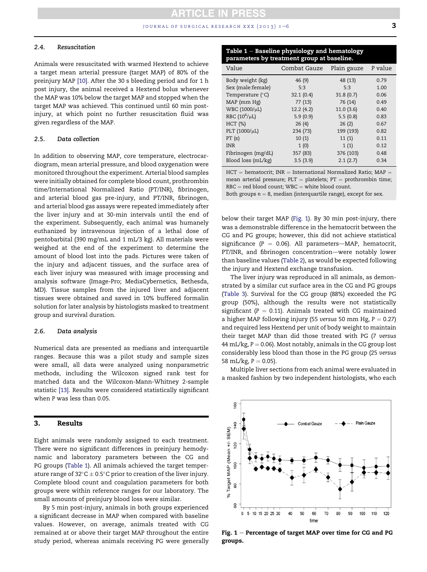#### <span id="page-2-0"></span>2.4. Resuscitation

Animals were resuscitated with warmed Hextend to achieve a target mean arterial pressure (target MAP) of 80% of the preinjury MAP [\[10\].](#page-4-0) After the 30 s bleeding period and for 1 h post injury, the animal received a Hextend bolus whenever the MAP was 10% below the target MAP and stopped when the target MAP was achieved. This continued until 60 min postinjury, at which point no further resuscitation fluid was given regardless of the MAP.

#### 2.5. Data collection

In addition to observing MAP, core temperature, electrocardiogram, mean arterial pressure, and blood oxygenation were monitored throughout the experiment. Arterial blood samples were initially obtained for complete blood count, prothrombin time/International Normalized Ratio (PT/INR), fibrinogen, and arterial blood gas pre-injury, and PT/INR, fibrinogen, and arterial blood gas assays were repeated immediately after the liver injury and at 30-min intervals until the end of the experiment. Subsequently, each animal was humanely euthanized by intravenous injection of a lethal dose of pentobarbital (390 mg/mL and 1 mL/3 kg). All materials were weighed at the end of the experiment to determine the amount of blood lost into the pads. Pictures were taken of the injury and adjacent tissues, and the surface area of each liver injury was measured with image processing and analysis software (Image-Pro; MediaCybernetics, Bethesda, MD). Tissue samples from the injured liver and adjacent tissues were obtained and saved in 10% buffered formalin solution for later analysis by histologists masked to treatment group and survival duration.

#### 2.6. Data analysis

Numerical data are presented as medians and interquartile ranges. Because this was a pilot study and sample sizes were small, all data were analyzed using nonparametric methods, including the Wilcoxon signed rank test for matched data and the Wilcoxon-Mann-Whitney 2-sample statistic [\[13\]](#page-5-0). Results were considered statistically significant when P was less than 0.05.

### 3. Results

Eight animals were randomly assigned to each treatment. There were no significant differences in preinjury hemodynamic and laboratory parameters between the CG and PG groups (Table 1). All animals achieved the target temperature range of  $32^{\circ}C \pm 0.5^{\circ}C$  prior to creation of the liver injury. Complete blood count and coagulation parameters for both groups were within reference ranges for our laboratory. The small amounts of preinjury blood loss were similar.

By 5 min post-injury, animals in both groups experienced a significant decrease in MAP when compared with baseline values. However, on average, animals treated with CG remained at or above their target MAP throughout the entire study period, whereas animals receiving PG were generally

| Table $1$ – Baseline physiology and hematology<br>parameters by treatment group at baseline.                                                                                                 |              |             |         |  |  |  |
|----------------------------------------------------------------------------------------------------------------------------------------------------------------------------------------------|--------------|-------------|---------|--|--|--|
| Value                                                                                                                                                                                        | Combat Gauze | Plain gauze | P value |  |  |  |
| Body weight (kg)                                                                                                                                                                             | 46(9)        | 48 (13)     | 0.79    |  |  |  |
| Sex (male:female)                                                                                                                                                                            | 5:3          | 5:3         | 1.00    |  |  |  |
| Temperature $(^{\circ}C)$                                                                                                                                                                    | 32.1(0.4)    | 31.8(0.7)   | 0.06    |  |  |  |
| MAP (mm Hg)                                                                                                                                                                                  | 77(13)       | 76 (14)     | 0.49    |  |  |  |
| WBC (1000/µL)                                                                                                                                                                                | 12.2(4.2)    | 11.0(3.6)   | 0.40    |  |  |  |
| RBC $(10^6/\mu L)$                                                                                                                                                                           | 5.9(0.9)     | 5.5(0.8)    | 0.83    |  |  |  |
| $HCT$ (%)                                                                                                                                                                                    | 26(4)        | 26(2)       | 0.67    |  |  |  |
| PLT $(1000/\mu L)$                                                                                                                                                                           | 234 (73)     | 199 (193)   | 0.82    |  |  |  |
| PT(s)                                                                                                                                                                                        | 10(1)        | 11(1)       | 0.11    |  |  |  |
| <b>INR</b>                                                                                                                                                                                   | 1(0)         | 1(1)        | 0.12    |  |  |  |
| Fibrinogen (mg/dL)                                                                                                                                                                           | 357 (83)     | 376 (103)   | 0.48    |  |  |  |
| Blood loss (mL/kg)                                                                                                                                                                           | 3.5(3.9)     | 2.1(2.7)    | 0.34    |  |  |  |
| $HCT$ = hematocrit; INR = International Normalized Ratio; MAP =<br>mean arterial pressure; $PLT =$ platelets; $PT =$ prothrombin time;<br>$RBC = red blood count$ ; WBC = white blood count. |              |             |         |  |  |  |

Both groups  $n = 8$ , median (interquartile range), except for sex.

below their target MAP (Fig. 1). By 30 min post-injury, there was a demonstrable difference in the hematocrit between the CG and PG groups; however, this did not achieve statistical significance ( $P = 0.06$ ). All parameters—MAP, hematocrit, PT/INR, and fibrinogen concentration-were notably lower than baseline values ([Table 2](#page-3-0)), as would be expected following the injury and Hextend exchange transfusion.

The liver injury was reproduced in all animals, as demonstrated by a similar cut surface area in the CG and PG groups [\(Table 3\)](#page-3-0). Survival for the CG group (88%) exceeded the PG group (50%), although the results were not statistically significant ( $P = 0.11$ ). Animals treated with CG maintained a higher MAP following injury (55 versus 50 mm Hg,  $P = 0.27$ ) and required less Hextend per unit of body weight to maintain their target MAP than did those treated with PG (7 versus 44 mL/kg,  $P = 0.06$ ). Most notably, animals in the CG group lost considerably less blood than those in the PG group (25 versus 58 mL/kg,  $P = 0.05$ ).

Multiple liver sections from each animal were evaluated in a masked fashion by two independent histologists, who each



Fig.  $1$  – Percentage of target MAP over time for CG and PG groups.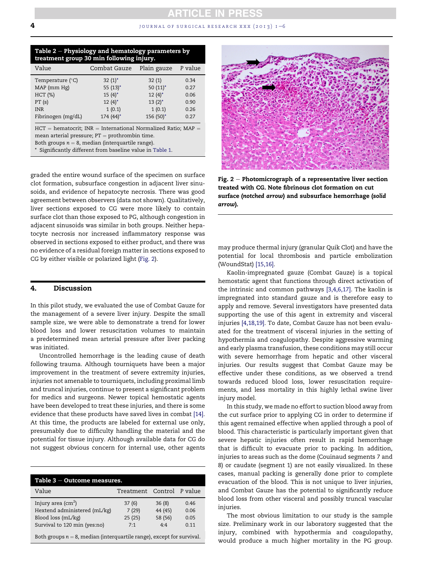<span id="page-3-0"></span>

| Table $2$ – Physiology and hematology parameters by<br>treatment group 30 min following injury. |              |             |         |  |  |  |
|-------------------------------------------------------------------------------------------------|--------------|-------------|---------|--|--|--|
| Value                                                                                           | Combat Gauze | Plain gauze | P value |  |  |  |
| Temperature $(°C)$                                                                              | $32(1)^*$    | 32(1)       | 0.34    |  |  |  |
| MAP (mm Hg)                                                                                     | 55 $(13)*$   | 50 $(11)^*$ | 0.27    |  |  |  |
| <b>HCT</b> (%)                                                                                  | $15(4)^*$    | $12(4)^*$   | 0.06    |  |  |  |
| PT(s)                                                                                           | $12(4)^*$    | $13(2)^*$   | 0.90    |  |  |  |
| <b>INR</b>                                                                                      | 1(0.1)       | 1(0.1)      | 0.26    |  |  |  |
| Fibrinogen (mg/dL)                                                                              | $174(44)^*$  | 156 (50)*   | 0.27    |  |  |  |

 $HCT =$  hematocrit; INR = International Normalized Ratio; MAP = mean arterial pressure;  $PT =$  prothrombin time. Both groups  $n = 8$ , median (interquartile range).

\* Significantly different from baseline value in [Table 1.](#page-2-0)

graded the entire wound surface of the specimen on surface clot formation, subsurface congestion in adjacent liver sinusoids, and evidence of hepatocyte necrosis. There was good agreement between observers (data not shown). Qualitatively, liver sections exposed to CG were more likely to contain surface clot than those exposed to PG, although congestion in adjacent sinusoids was similar in both groups. Neither hepatocyte necrosis nor increased inflammatory response was observed in sections exposed to either product, and there was no evidence of a residual foreign matter in sections exposed to CG by either visible or polarized light (Fig. 2).

## 4. Discussion

In this pilot study, we evaluated the use of Combat Gauze for the management of a severe liver injury. Despite the small sample size, we were able to demonstrate a trend for lower blood loss and lower resuscitation volumes to maintain a predetermined mean arterial pressure after liver packing was initiated.

Uncontrolled hemorrhage is the leading cause of death following trauma. Although tourniquets have been a major improvement in the treatment of severe extremity injuries, injuries not amenable to tourniquets, including proximal limb and truncal injuries, continue to present a significant problem for medics and surgeons. Newer topical hemostatic agents have been developed to treat these injuries, and there is some evidence that these products have saved lives in combat [\[14\].](#page-5-0) At this time, the products are labeled for external use only, presumably due to difficulty handling the material and the potential for tissue injury. Although available data for CG do not suggest obvious concern for internal use, other agents

| Table $3$ – Outcome measures.                                                                                  |                                 |                                    |                             |  |  |
|----------------------------------------------------------------------------------------------------------------|---------------------------------|------------------------------------|-----------------------------|--|--|
| Value                                                                                                          | Treatment Control P value       |                                    |                             |  |  |
| Injury area $\rm (cm^2)$<br>Hextend administered (mL/kg)<br>Blood loss (mL/kg)<br>Survival to 120 min (yes:no) | 37(6)<br>7(29)<br>25(25)<br>7.1 | 36(8)<br>44 (45)<br>58 (56)<br>4.4 | 046<br>0.06<br>0.05<br>0.11 |  |  |
| Both groups $n = 8$ , median (interquartile range), except for survival.                                       |                                 |                                    |                             |  |  |



Fig.  $2$  – Photomicrograph of a representative liver section treated with CG. Note fibrinous clot formation on cut surface (notched arrow) and subsurface hemorrhage (solid arrow).

may produce thermal injury (granular Quik Clot) and have the potential for local thrombosis and particle embolization (WoundStat) [\[15,16\]](#page-5-0).

Kaolin-impregnated gauze (Combat Gauze) is a topical hemostatic agent that functions through direct activation of the intrinsic and common pathways [\[3,4,6,17\].](#page-4-0) The kaolin is impregnated into standard gauze and is therefore easy to apply and remove. Several investigators have presented data supporting the use of this agent in extremity and visceral injuries [\[4,18,19\]](#page-4-0). To date, Combat Gauze has not been evaluated for the treatment of visceral injuries in the setting of hypothermia and coagulopathy. Despite aggressive warming and early plasma transfusion, these conditions may still occur with severe hemorrhage from hepatic and other visceral injuries. Our results suggest that Combat Gauze may be effective under these conditions, as we observed a trend towards reduced blood loss, lower resuscitation requirements, and less mortality in this highly lethal swine liver injury model.

In this study, we made no effort to suction blood away from the cut surface prior to applying CG in order to determine if this agent remained effective when applied through a pool of blood. This characteristic is particularly important given that severe hepatic injuries often result in rapid hemorrhage that is difficult to evacuate prior to packing. In addition, injuries to areas such as the dome (Couinaud segments 7 and 8) or caudate (segment 1) are not easily visualized. In these cases, manual packing is generally done prior to complete evacuation of the blood. This is not unique to liver injuries, and Combat Gauze has the potential to significantly reduce blood loss from other visceral and possibly truncal vascular injuries.

The most obvious limitation to our study is the sample size. Preliminary work in our laboratory suggested that the injury, combined with hypothermia and coagulopathy, would produce a much higher mortality in the PG group.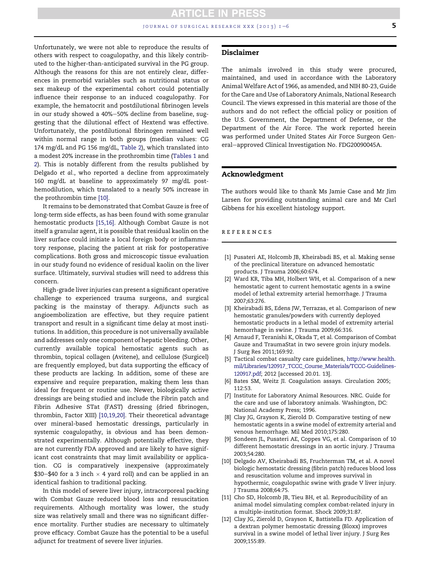<span id="page-4-0"></span>Unfortunately, we were not able to reproduce the results of others with respect to coagulopathy, and this likely contributed to the higher-than-anticipated survival in the PG group. Although the reasons for this are not entirely clear, differences in premorbid variables such as nutritional status or sex makeup of the experimental cohort could potentially influence their response to an induced coagulopathy. For example, the hematocrit and postdilutional fibrinogen levels in our study showed a 40%-50% decline from baseline, suggesting that the dilutional effect of Hextend was effective. Unfortunately, the postdilutional fibrinogen remained well within normal range in both groups (median values: CG 174 mg/dL and PG 156 mg/dL, [Table 2\)](#page-3-0), which translated into a modest 20% increase in the prothrombin time ([Tables 1](#page-2-0) and [2](#page-3-0)). This is notably different from the results published by Delgado et al., who reported a decline from approximately 160 mg/dL at baseline to approximately 97 mg/dL posthemodilution, which translated to a nearly 50% increase in the prothrombin time [10].

It remains to be demonstrated that Combat Gauze is free of long-term side effects, as has been found with some granular hemostatic products [\[15,16\]](#page-5-0). Although Combat Gauze is not itself a granular agent, it is possible that residual kaolin on the liver surface could initiate a local foreign body or inflammatory response, placing the patient at risk for postoperative complications. Both gross and microscopic tissue evaluation in our study found no evidence of residual kaolin on the liver surface. Ultimately, survival studies will need to address this concern.

High-grade liver injuries can present a significant operative challenge to experienced trauma surgeons, and surgical packing is the mainstay of therapy. Adjuncts such as angioembolization are effective, but they require patient transport and result in a significant time delay at most institutions. In addition, this procedure is not universally available and addresses only one component of hepatic bleeding. Other, currently available topical hemostatic agents such as thrombin, topical collagen (Avitene), and cellulose (Surgicel) are frequently employed, but data supporting the efficacy of these products are lacking. In addition, some of these are expensive and require preparation, making them less than ideal for frequent or routine use. Newer, biologically active dressings are being studied and include the Fibrin patch and Fibrin Adhesive STat (FAST) dressing (dried fibrinogen, thrombin, Factor XIII) [10,19,20]. Their theoretical advantage over mineral-based hemostatic dressings, particularly in systemic coagulopathy, is obvious and has been demonstrated experimentally. Although potentially effective, they are not currently FDA approved and are likely to have significant cost constraints that may limit availability or application. CG is comparatively inexpensive (approximately  $$30-\$40$  for a 3 inch  $\times$  4 yard roll) and can be applied in an identical fashion to traditional packing.

In this model of severe liver injury, intracorporeal packing with Combat Gauze reduced blood loss and resuscitation requirements. Although mortality was lower, the study size was relatively small and there was no significant difference mortality. Further studies are necessary to ultimately prove efficacy. Combat Gauze has the potential to be a useful adjunct for treatment of severe liver injuries.

#### Disclaimer

The animals involved in this study were procured, maintained, and used in accordance with the Laboratory Animal Welfare Act of 1966, as amended, and NIH 80-23, Guide for the Care and Use of Laboratory Animals, National Research Council. The views expressed in this material are those of the authors and do not reflect the official policy or position of the U.S. Government, the Department of Defense, or the Department of the Air Force. The work reported herein was performed under United States Air Force Surgeon General-approved Clinical Investigation No. FDG20090045A.

#### Acknowledgment

The authors would like to thank Ms Jamie Case and Mr Jim Larsen for providing outstanding animal care and Mr Carl Gibbens for his excellent histology support.

#### references

- [1] Pusateri AE, Holcomb JB, Kheirabadi BS, et al. Making sense of the preclinical literature on advanced hemostatic products. J Trauma 2006;60:674.
- [2] Ward KR, Tiba MH, Holbert WH, et al. Comparison of a new hemostatic agent to current hemostatic agents in a swine model of lethal extremity arterial hemorrhage. J Trauma 2007;63:276.
- [3] Kheirabadi BS, Edens JW, Terrazas, et al. Comparison of new hemostatic granules/powders with currently deployed hemostatic products in a lethal model of extremity arterial hemorrhage in swine. J Trauma 2009;66:316.
- [4] Arnaud F, Teranishi K, Okada T, et al. Comparison of Combat Gauze and TraumaStat in two severe groin injury models. J Surg Res 2011;169:92.
- [5] Tactical combat casualty care guidelines, [http://www.health.](http://www.health.mil/Libraries/120917_TCCC_Course_Materials/TCCC-Guidelines-120917.pdf) [mil/Libraries/120917\\_TCCC\\_Course\\_Materials/TCCC-Guidelines-](http://www.health.mil/Libraries/120917_TCCC_Course_Materials/TCCC-Guidelines-120917.pdf)[120917.pdf;](http://www.health.mil/Libraries/120917_TCCC_Course_Materials/TCCC-Guidelines-120917.pdf) 2012 [accessed 20.01. 13].
- [6] Bates SM, Weitz JI. Coagulation assays. Circulation 2005; 112:53.
- [7] Institute for Laboratory Animal Resources. NRC. Guide for the care and use of laboratory animals. Washington, DC: National Academy Press; 1996.
- [8] Clay JG, Grayson K, Zierold D. Comparative testing of new hemostatic agents in a swine model of extremity arterial and venous hemorrhage. Mil Med 2010;175:280.
- [9] Sondeen JL, Pusateri AE, Coppes VG, et al. Comparison of 10 different hemostatic dressings in an aortic injury. J Trauma 2003;54:280.
- [10] Delgado AV, Kheirabadi BS, Fruchterman TM, et al. A novel biologic hemostatic dressing (fibrin patch) reduces blood loss and resuscitation volume and improves survival in hypothermic, coagulopathic swine with grade V liver injury. J Trauma 2008;64:75.
- [11] Cho SD, Holcomb JB, Tieu BH, et al. Reproducibility of an animal model simulating complex combat-related injury in a multiple-institution format. Shock 2009;31:87.
- [12] Clay JG, Zierold D, Grayson K, Battistella FD. Application of a dextran polymer hemostatic dressing (Bloxx) improves survival in a swine model of lethal liver injury. J Surg Res 2009;155:89.